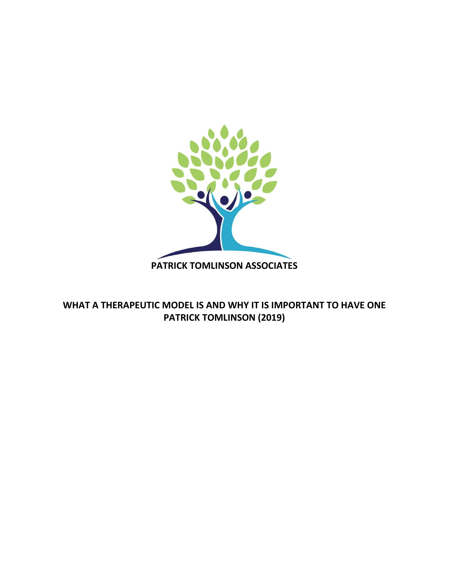

# **WHAT A THERAPEUTIC MODEL IS AND WHY IT IS IMPORTANT TO HAVE ONE PATRICK TOMLINSON (2019)**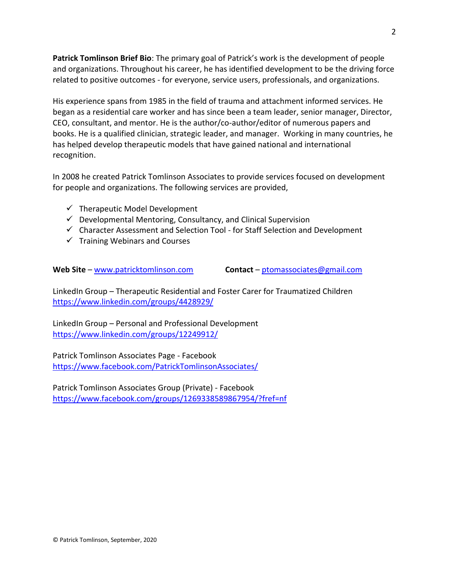**Patrick Tomlinson Brief Bio**: The primary goal of Patrick's work is the development of people and organizations. Throughout his career, he has identified development to be the driving force related to positive outcomes - for everyone, service users, professionals, and organizations.

His experience spans from 1985 in the field of trauma and attachment informed services. He began as a residential care worker and has since been a team leader, senior manager, Director, CEO, consultant, and mentor. He is the author/co-author/editor of numerous papers and books. He is a qualified clinician, strategic leader, and manager. Working in many countries, he has helped develop therapeutic models that have gained national and international recognition.

In 2008 he created Patrick Tomlinson Associates to provide services focused on development for people and organizations. The following services are provided,

- $\checkmark$  Therapeutic Model Development
- $\checkmark$  Developmental Mentoring, Consultancy, and Clinical Supervision
- ✓ Character Assessment and Selection Tool for Staff Selection and Development
- $\checkmark$  Training Webinars and Courses

**Web Site** – [www.patricktomlinson.com](http://www.patricktomlinson.com/) **Contact** – [ptomassociates@gmail.com](mailto:ptomassociates@gmail.com)

LinkedIn Group – Therapeutic Residential and Foster Carer for Traumatized Children <https://www.linkedin.com/groups/4428929/>

LinkedIn Group – Personal and Professional Development <https://www.linkedin.com/groups/12249912/>

Patrick Tomlinson Associates Page - Facebook <https://www.facebook.com/PatrickTomlinsonAssociates/>

Patrick Tomlinson Associates Group (Private) - Facebook <https://www.facebook.com/groups/1269338589867954/?fref=nf>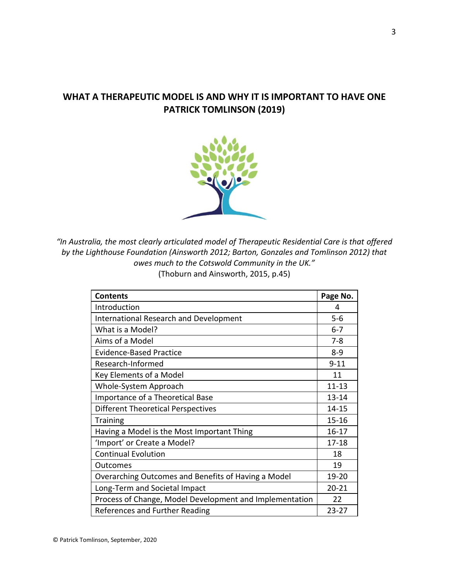# **WHAT A THERAPEUTIC MODEL IS AND WHY IT IS IMPORTANT TO HAVE ONE PATRICK TOMLINSON (2019)**



"In Australia, the most clearly articulated model of Therapeutic Residential Care is that offered *by the Lighthouse Foundation (Ainsworth 2012; Barton, Gonzales and Tomlinson 2012) that owes much to the Cotswold Community in the UK."* (Thoburn and Ainsworth, 2015, p.45)

| <b>Contents</b>                                         | Page No.  |
|---------------------------------------------------------|-----------|
| Introduction                                            | 4         |
| <b>International Research and Development</b>           | $5-6$     |
| What is a Model?                                        | $6 - 7$   |
| Aims of a Model                                         | $7 - 8$   |
| <b>Evidence-Based Practice</b>                          | $8 - 9$   |
| Research-Informed                                       | $9 - 11$  |
| Key Elements of a Model                                 | 11        |
| Whole-System Approach                                   | $11 - 13$ |
| Importance of a Theoretical Base                        | $13 - 14$ |
| Different Theoretical Perspectives                      | $14 - 15$ |
| <b>Training</b>                                         | $15 - 16$ |
| Having a Model is the Most Important Thing              | $16 - 17$ |
| 'Import' or Create a Model?                             | $17 - 18$ |
| <b>Continual Evolution</b>                              | 18        |
| <b>Outcomes</b>                                         | 19        |
| Overarching Outcomes and Benefits of Having a Model     | 19-20     |
| Long-Term and Societal Impact                           | $20 - 21$ |
| Process of Change, Model Development and Implementation | 22        |
| References and Further Reading                          | $23 - 27$ |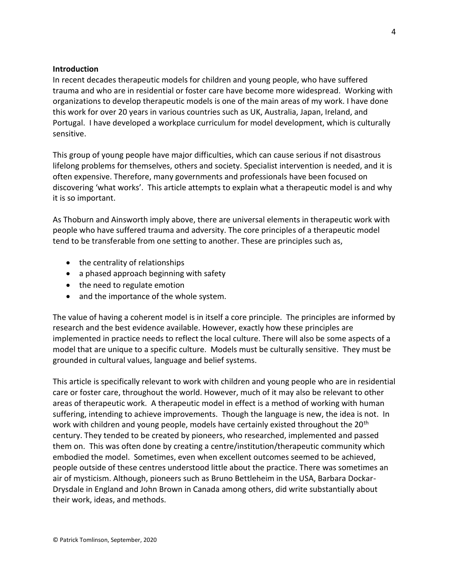#### **Introduction**

In recent decades therapeutic models for children and young people, who have suffered trauma and who are in residential or foster care have become more widespread. Working with organizations to develop therapeutic models is one of the main areas of my work. I have done this work for over 20 years in various countries such as UK, Australia, Japan, Ireland, and Portugal. I have developed a workplace curriculum for model development, which is culturally sensitive.

This group of young people have major difficulties, which can cause serious if not disastrous lifelong problems for themselves, others and society. Specialist intervention is needed, and it is often expensive. Therefore, many governments and professionals have been focused on discovering 'what works'. This article attempts to explain what a therapeutic model is and why it is so important.

As Thoburn and Ainsworth imply above, there are universal elements in therapeutic work with people who have suffered trauma and adversity. The core principles of a therapeutic model tend to be transferable from one setting to another. These are principles such as,

- the centrality of relationships
- a phased approach beginning with safety
- the need to regulate emotion
- and the importance of the whole system.

The value of having a coherent model is in itself a core principle. The principles are informed by research and the best evidence available. However, exactly how these principles are implemented in practice needs to reflect the local culture. There will also be some aspects of a model that are unique to a specific culture. Models must be culturally sensitive. They must be grounded in cultural values, language and belief systems.

This article is specifically relevant to work with children and young people who are in residential care or foster care, throughout the world. However, much of it may also be relevant to other areas of therapeutic work. A therapeutic model in effect is a method of working with human suffering, intending to achieve improvements. Though the language is new, the idea is not. In work with children and young people, models have certainly existed throughout the 20<sup>th</sup> century. They tended to be created by pioneers, who researched, implemented and passed them on. This was often done by creating a centre/institution/therapeutic community which embodied the model. Sometimes, even when excellent outcomes seemed to be achieved, people outside of these centres understood little about the practice. There was sometimes an air of mysticism. Although, pioneers such as Bruno Bettleheim in the USA, Barbara Dockar-Drysdale in England and John Brown in Canada among others, did write substantially about their work, ideas, and methods.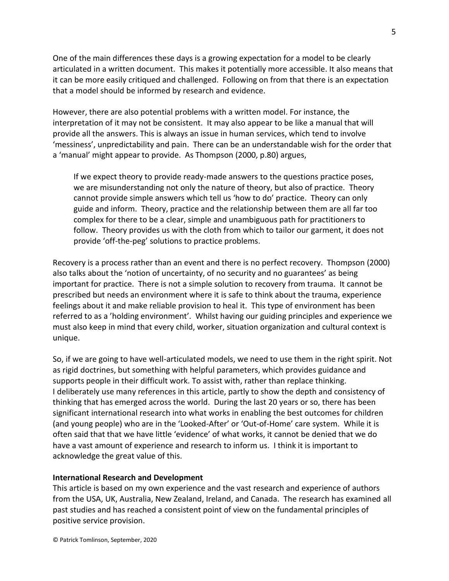One of the main differences these days is a growing expectation for a model to be clearly articulated in a written document. This makes it potentially more accessible. It also means that it can be more easily critiqued and challenged. Following on from that there is an expectation that a model should be informed by research and evidence.

However, there are also potential problems with a written model. For instance, the interpretation of it may not be consistent. It may also appear to be like a manual that will provide all the answers. This is always an issue in human services, which tend to involve 'messiness', unpredictability and pain. There can be an understandable wish for the order that a 'manual' might appear to provide. As Thompson (2000, p.80) argues,

If we expect theory to provide ready-made answers to the questions practice poses, we are misunderstanding not only the nature of theory, but also of practice. Theory cannot provide simple answers which tell us 'how to do' practice. Theory can only guide and inform. Theory, practice and the relationship between them are all far too complex for there to be a clear, simple and unambiguous path for practitioners to follow. Theory provides us with the cloth from which to tailor our garment, it does not provide 'off-the-peg' solutions to practice problems.

Recovery is a process rather than an event and there is no perfect recovery. Thompson (2000) also talks about the 'notion of uncertainty, of no security and no guarantees' as being important for practice. There is not a simple solution to recovery from trauma. It cannot be prescribed but needs an environment where it is safe to think about the trauma, experience feelings about it and make reliable provision to heal it. This type of environment has been referred to as a 'holding environment'. Whilst having our guiding principles and experience we must also keep in mind that every child, worker, situation organization and cultural context is unique.

So, if we are going to have well-articulated models, we need to use them in the right spirit. Not as rigid doctrines, but something with helpful parameters, which provides guidance and supports people in their difficult work. To assist with, rather than replace thinking. I deliberately use many references in this article, partly to show the depth and consistency of thinking that has emerged across the world. During the last 20 years or so, there has been significant international research into what works in enabling the best outcomes for children (and young people) who are in the 'Looked-After' or 'Out-of-Home' care system. While it is often said that that we have little 'evidence' of what works, it cannot be denied that we do have a vast amount of experience and research to inform us. I think it is important to acknowledge the great value of this.

#### **International Research and Development**

This article is based on my own experience and the vast research and experience of authors from the USA, UK, Australia, New Zealand, Ireland, and Canada. The research has examined all past studies and has reached a consistent point of view on the fundamental principles of positive service provision.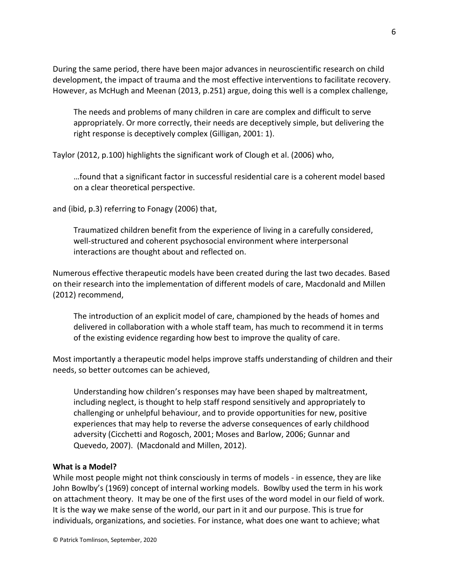During the same period, there have been major advances in neuroscientific research on child development, the impact of trauma and the most effective interventions to facilitate recovery. However, as McHugh and Meenan (2013, p.251) argue, doing this well is a complex challenge,

The needs and problems of many children in care are complex and difficult to serve appropriately. Or more correctly, their needs are deceptively simple, but delivering the right response is deceptively complex (Gilligan, 2001: 1).

Taylor (2012, p.100) highlights the significant work of Clough et al. (2006) who,

…found that a significant factor in successful residential care is a coherent model based on a clear theoretical perspective.

and (ibid, p.3) referring to Fonagy (2006) that,

Traumatized children benefit from the experience of living in a carefully considered, well-structured and coherent psychosocial environment where interpersonal interactions are thought about and reflected on.

Numerous effective therapeutic models have been created during the last two decades. Based on their research into the implementation of different models of care, Macdonald and Millen (2012) recommend,

The introduction of an explicit model of care, championed by the heads of homes and delivered in collaboration with a whole staff team, has much to recommend it in terms of the existing evidence regarding how best to improve the quality of care.

Most importantly a therapeutic model helps improve staffs understanding of children and their needs, so better outcomes can be achieved,

Understanding how children's responses may have been shaped by maltreatment, including neglect, is thought to help staff respond sensitively and appropriately to challenging or unhelpful behaviour, and to provide opportunities for new, positive experiences that may help to reverse the adverse consequences of early childhood adversity (Cicchetti and Rogosch, 2001; Moses and Barlow, 2006; Gunnar and Quevedo, 2007). (Macdonald and Millen, 2012).

#### **What is a Model?**

While most people might not think consciously in terms of models - in essence, they are like John Bowlby's (1969) concept of internal working models. Bowlby used the term in his work on attachment theory. It may be one of the first uses of the word model in our field of work. It is the way we make sense of the world, our part in it and our purpose. This is true for individuals, organizations, and societies. For instance, what does one want to achieve; what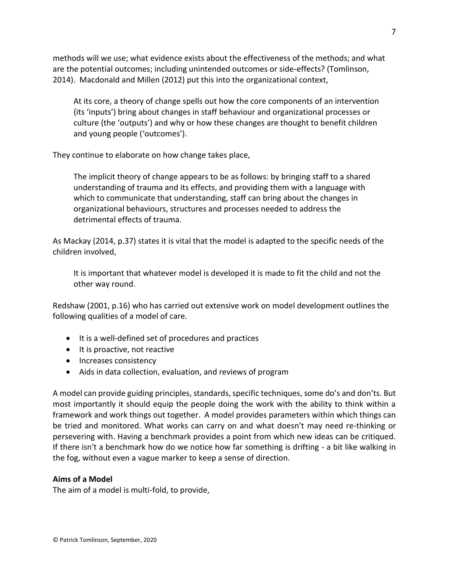methods will we use; what evidence exists about the effectiveness of the methods; and what are the potential outcomes; including unintended outcomes or side-effects? (Tomlinson, 2014). Macdonald and Millen (2012) put this into the organizational context,

At its core, a theory of change spells out how the core components of an intervention (its 'inputs') bring about changes in staff behaviour and organizational processes or culture (the 'outputs') and why or how these changes are thought to benefit children and young people ('outcomes').

They continue to elaborate on how change takes place,

The implicit theory of change appears to be as follows: by bringing staff to a shared understanding of trauma and its effects, and providing them with a language with which to communicate that understanding, staff can bring about the changes in organizational behaviours, structures and processes needed to address the detrimental effects of trauma.

As Mackay (2014, p.37) states it is vital that the model is adapted to the specific needs of the children involved,

It is important that whatever model is developed it is made to fit the child and not the other way round.

Redshaw (2001, p.16) who has carried out extensive work on model development outlines the following qualities of a model of care.

- It is a well-defined set of procedures and practices
- It is proactive, not reactive
- Increases consistency
- Aids in data collection, evaluation, and reviews of program

A model can provide guiding principles, standards, specific techniques, some do's and don'ts. But most importantly it should equip the people doing the work with the ability to think within a framework and work things out together. A model provides parameters within which things can be tried and monitored. What works can carry on and what doesn't may need re-thinking or persevering with. Having a benchmark provides a point from which new ideas can be critiqued. If there isn't a benchmark how do we notice how far something is drifting - a bit like walking in the fog, without even a vague marker to keep a sense of direction.

# **Aims of a Model**

The aim of a model is multi-fold, to provide,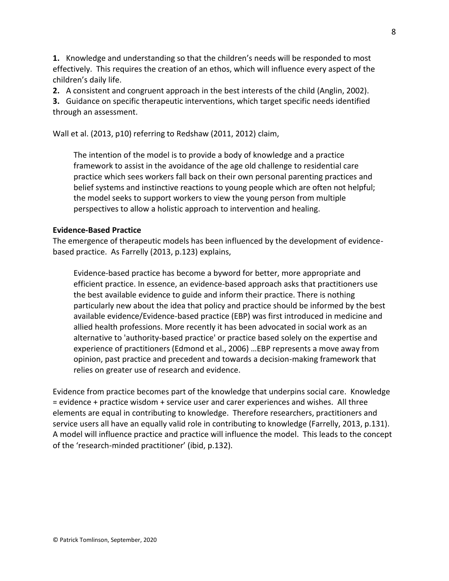**1.** Knowledge and understanding so that the children's needs will be responded to most effectively. This requires the creation of an ethos, which will influence every aspect of the children's daily life.

**2.** A consistent and congruent approach in the best interests of the child (Anglin, 2002).

**3.** Guidance on specific therapeutic interventions, which target specific needs identified through an assessment.

Wall et al. (2013, p10) referring to Redshaw (2011, 2012) claim,

The intention of the model is to provide a body of knowledge and a practice framework to assist in the avoidance of the age old challenge to residential care practice which sees workers fall back on their own personal parenting practices and belief systems and instinctive reactions to young people which are often not helpful; the model seeks to support workers to view the young person from multiple perspectives to allow a holistic approach to intervention and healing.

# **Evidence-Based Practice**

The emergence of therapeutic models has been influenced by the development of evidencebased practice. As Farrelly (2013, p.123) explains,

Evidence-based practice has become a byword for better, more appropriate and efficient practice. In essence, an evidence-based approach asks that practitioners use the best available evidence to guide and inform their practice. There is nothing particularly new about the idea that policy and practice should be informed by the best available evidence/Evidence-based practice (EBP) was first introduced in medicine and allied health professions. More recently it has been advocated in social work as an alternative to 'authority-based practice' or practice based solely on the expertise and experience of practitioners (Edmond et al., 2006) …EBP represents a move away from opinion, past practice and precedent and towards a decision-making framework that relies on greater use of research and evidence.

Evidence from practice becomes part of the knowledge that underpins social care. Knowledge = evidence + practice wisdom + service user and carer experiences and wishes. All three elements are equal in contributing to knowledge. Therefore researchers, practitioners and service users all have an equally valid role in contributing to knowledge (Farrelly, 2013, p.131). A model will influence practice and practice will influence the model. This leads to the concept of the 'research-minded practitioner' (ibid, p.132).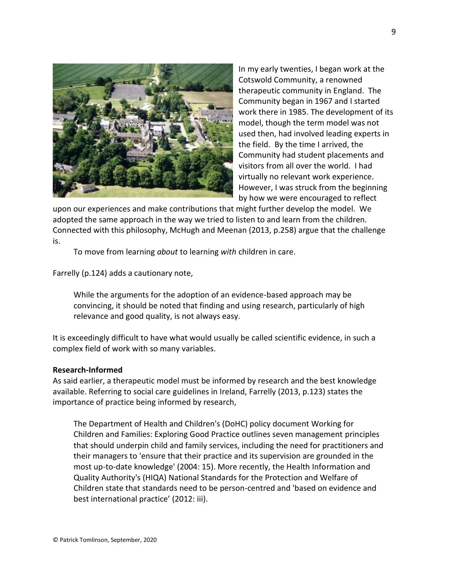

In my early twenties, I began work at the Cotswold Community, a renowned therapeutic community in England. The Community began in 1967 and I started work there in 1985. The development of its model, though the term model was not used then, had involved leading experts in the field. By the time I arrived, the Community had student placements and visitors from all over the world. I had virtually no relevant work experience. However, I was struck from the beginning by how we were encouraged to reflect

upon our experiences and make contributions that might further develop the model. We adopted the same approach in the way we tried to listen to and learn from the children. Connected with this philosophy, McHugh and Meenan (2013, p.258) argue that the challenge is.

To move from learning *about* to learning *with* children in care.

Farrelly (p.124) adds a cautionary note,

While the arguments for the adoption of an evidence-based approach may be convincing, it should be noted that finding and using research, particularly of high relevance and good quality, is not always easy.

It is exceedingly difficult to have what would usually be called scientific evidence, in such a complex field of work with so many variables.

#### **Research-Informed**

As said earlier, a therapeutic model must be informed by research and the best knowledge available. Referring to social care guidelines in Ireland, Farrelly (2013, p.123) states the importance of practice being informed by research,

The Department of Health and Children's (DoHC) policy document Working for Children and Families: Exploring Good Practice outlines seven management principles that should underpin child and family services, including the need for practitioners and their managers to 'ensure that their practice and its supervision are grounded in the most up-to-date knowledge' (2004: 15). More recently, the Health Information and Quality Authority's (HIQA) National Standards for the Protection and Welfare of Children state that standards need to be person-centred and 'based on evidence and best international practice' (2012: iii).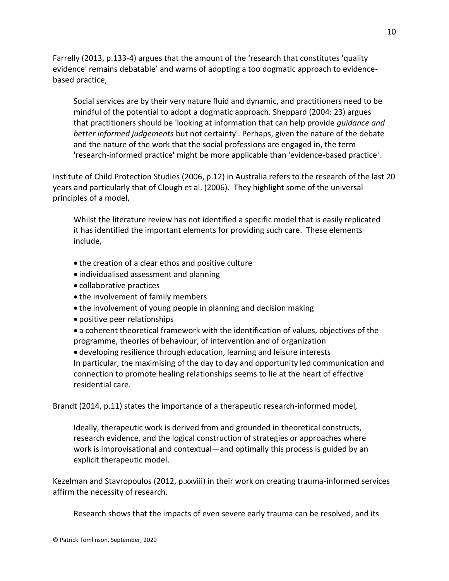Farrelly (2013, p.133-4) argues that the amount of the 'research that constitutes 'quality evidence' remains debatable' and warns of adopting a too dogmatic approach to evidencebased practice,

Social services are by their very nature fluid and dynamic, and practitioners need to be mindful of the potential to adopt a dogmatic approach. Sheppard (2004: 23) argues that practitioners should be 'looking at information that can help provide *guidance and better informed judgements* but not certainty'. Perhaps, given the nature of the debate and the nature of the work that the social professions are engaged in, the term 'research-informed practice' might be more applicable than 'evidence-based practice'.

Institute of Child Protection Studies (2006, p.12) in Australia refers to the research of the last 20 years and particularly that of Clough et al. (2006). They highlight some of the universal principles of a model,

Whilst the literature review has not identified a specific model that is easily replicated it has identified the important elements for providing such care. These elements include,

- the creation of a clear ethos and positive culture
- individualised assessment and planning
- collaborative practices
- the involvement of family members
- the involvement of young people in planning and decision making
- positive peer relationships

• a coherent theoretical framework with the identification of values, objectives of the programme, theories of behaviour, of intervention and of organization

• developing resilience through education, learning and leisure interests In particular, the maximising of the day to day and opportunity led communication and connection to promote healing relationships seems to lie at the heart of effective residential care.

Brandt (2014, p.11) states the importance of a therapeutic research-informed model,

Ideally, therapeutic work is derived from and grounded in theoretical constructs, research evidence, and the logical construction of strategies or approaches where work is improvisational and contextual—and optimally this process is guided by an explicit therapeutic model.

Kezelman and Stavropoulos (2012, p.xxviii) in their work on creating trauma-informed services affirm the necessity of research.

Research shows that the impacts of even severe early trauma can be resolved, and its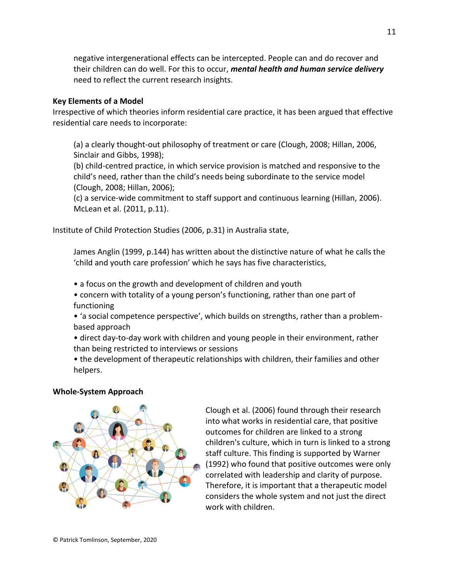negative intergenerational effects can be intercepted. People can and do recover and their children can do well. For this to occur, *mental health and human service delivery* need to reflect the current research insights.

#### **Key Elements of a Model**

Irrespective of which theories inform residential care practice, it has been argued that effective residential care needs to incorporate:

(a) a clearly thought-out philosophy of treatment or care (Clough, 2008; Hillan, 2006, Sinclair and Gibbs, 1998);

(b) child-centred practice, in which service provision is matched and responsive to the child's need, rather than the child's needs being subordinate to the service model (Clough, 2008; Hillan, 2006);

(c) a service-wide commitment to staff support and continuous learning (Hillan, 2006). McLean et al. (2011, p.11).

Institute of Child Protection Studies (2006, p.31) in Australia state,

James Anglin (1999, p.144) has written about the distinctive nature of what he calls the 'child and youth care profession' which he says has five characteristics,

- a focus on the growth and development of children and youth
- concern with totality of a young person's functioning, rather than one part of functioning
- 'a social competence perspective', which builds on strengths, rather than a problembased approach
- direct day-to-day work with children and young people in their environment, rather than being restricted to interviews or sessions
- the development of therapeutic relationships with children, their families and other helpers.

# **Whole-System Approach**



Clough et al. (2006) found through their research into what works in residential care, that positive outcomes for children are linked to a strong children's culture, which in turn is linked to a strong staff culture. This finding is supported by Warner (1992) who found that positive outcomes were only correlated with leadership and clarity of purpose. Therefore, it is important that a therapeutic model considers the whole system and not just the direct work with children.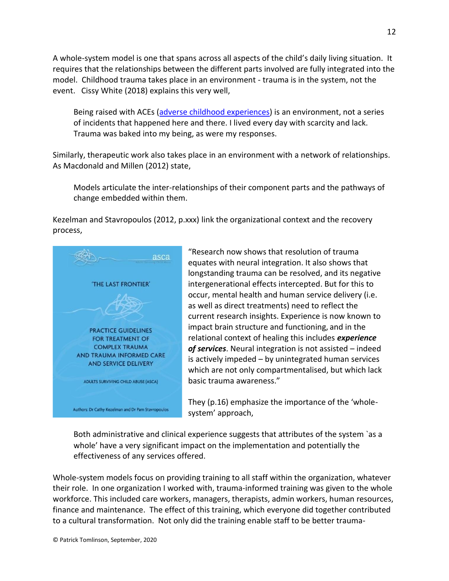A whole-system model is one that spans across all aspects of the child's daily living situation. It requires that the relationships between the different parts involved are fully integrated into the model. Childhood trauma takes place in an environment - trauma is in the system, not the event. Cissy White (2018) explains this very well,

Being raised with ACEs [\(adverse childhood experiences\)](http://www.acestoohigh.com/aces-101) is an environment, not a series of incidents that happened here and there. I lived every day with scarcity and lack. Trauma was baked into my being, as were my responses.

Similarly, therapeutic work also takes place in an environment with a network of relationships. As Macdonald and Millen (2012) state,

Models articulate the inter-relationships of their component parts and the pathways of change embedded within them.

Kezelman and Stavropoulos (2012, p.xxx) link the organizational context and the recovery process,



"Research now shows that resolution of trauma equates with neural integration. It also shows that longstanding trauma can be resolved, and its negative intergenerational effects intercepted. But for this to occur, mental health and human service delivery (i.e. as well as direct treatments) need to reflect the current research insights. Experience is now known to impact brain structure and functioning, and in the relational context of healing this includes *experience of services*. Neural integration is not assisted – indeed is actively impeded – by unintegrated human services which are not only compartmentalised, but which lack basic trauma awareness."

They (p.16) emphasize the importance of the 'wholesystem' approach,

Both administrative and clinical experience suggests that attributes of the system `as a whole' have a very significant impact on the implementation and potentially the effectiveness of any services offered.

Whole-system models focus on providing training to all staff within the organization, whatever their role. In one organization I worked with, trauma-informed training was given to the whole workforce. This included care workers, managers, therapists, admin workers, human resources, finance and maintenance. The effect of this training, which everyone did together contributed to a cultural transformation. Not only did the training enable staff to be better trauma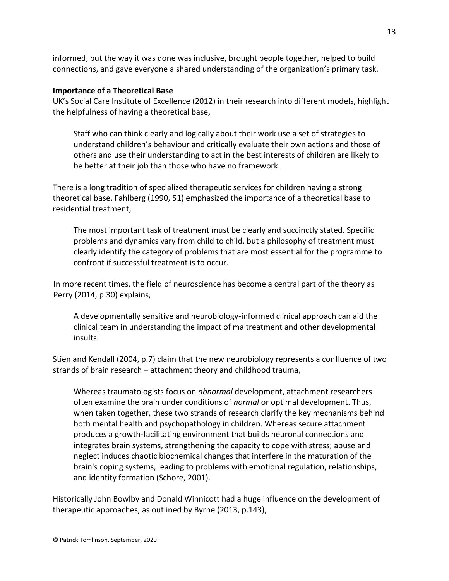informed, but the way it was done was inclusive, brought people together, helped to build connections, and gave everyone a shared understanding of the organization's primary task.

#### **Importance of a Theoretical Base**

UK's Social Care Institute of Excellence (2012) in their research into different models, highlight the helpfulness of having a theoretical base,

Staff who can think clearly and logically about their work use a set of strategies to understand children's behaviour and critically evaluate their own actions and those of others and use their understanding to act in the best interests of children are likely to be better at their job than those who have no framework.

There is a long tradition of specialized therapeutic services for children having a strong theoretical base. Fahlberg (1990, 51) emphasized the importance of a theoretical base to residential treatment,

The most important task of treatment must be clearly and succinctly stated. Specific problems and dynamics vary from child to child, but a philosophy of treatment must clearly identify the category of problems that are most essential for the programme to confront if successful treatment is to occur.

In more recent times, the field of neuroscience has become a central part of the theory as Perry (2014, p.30) explains,

A developmentally sensitive and neurobiology-informed clinical approach can aid the clinical team in understanding the impact of maltreatment and other developmental insults.

Stien and Kendall (2004, p.7) claim that the new neurobiology represents a confluence of two strands of brain research – attachment theory and childhood trauma,

Whereas traumatologists focus on *abnormal* development, attachment researchers often examine the brain under conditions of *normal* or optimal development. Thus, when taken together, these two strands of research clarify the key mechanisms behind both mental health and psychopathology in children. Whereas secure attachment produces a growth-facilitating environment that builds neuronal connections and integrates brain systems, strengthening the capacity to cope with stress; abuse and neglect induces chaotic biochemical changes that interfere in the maturation of the brain's coping systems, leading to problems with emotional regulation, relationships, and identity formation (Schore, 2001).

Historically John Bowlby and Donald Winnicott had a huge influence on the development of therapeutic approaches, as outlined by Byrne (2013, p.143),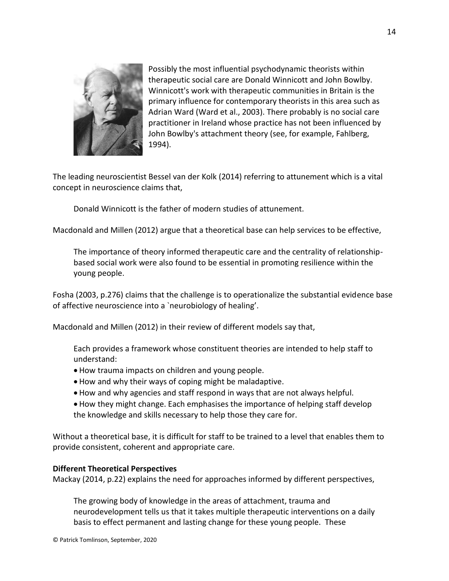

Possibly the most influential psychodynamic theorists within therapeutic social care are Donald Winnicott and John Bowlby. Winnicott's work with therapeutic communities in Britain is the primary influence for contemporary theorists in this area such as Adrian Ward (Ward et al., 2003). There probably is no social care practitioner in Ireland whose practice has not been influenced by John Bowlby's attachment theory (see, for example, Fahlberg, 1994).

The leading neuroscientist Bessel van der Kolk (2014) referring to attunement which is a vital concept in neuroscience claims that,

Donald Winnicott is the father of modern studies of attunement.

Macdonald and Millen (2012) argue that a theoretical base can help services to be effective,

The importance of theory informed therapeutic care and the centrality of relationshipbased social work were also found to be essential in promoting resilience within the young people.

Fosha (2003, p.276) claims that the challenge is to operationalize the substantial evidence base of affective neuroscience into a `neurobiology of healing'.

Macdonald and Millen (2012) in their review of different models say that,

Each provides a framework whose constituent theories are intended to help staff to understand:

- How trauma impacts on children and young people.
- How and why their ways of coping might be maladaptive.
- How and why agencies and staff respond in ways that are not always helpful.
- How they might change. Each emphasises the importance of helping staff develop the knowledge and skills necessary to help those they care for.

Without a theoretical base, it is difficult for staff to be trained to a level that enables them to provide consistent, coherent and appropriate care.

# **Different Theoretical Perspectives**

Mackay (2014, p.22) explains the need for approaches informed by different perspectives,

The growing body of knowledge in the areas of attachment, trauma and neurodevelopment tells us that it takes multiple therapeutic interventions on a daily basis to effect permanent and lasting change for these young people. These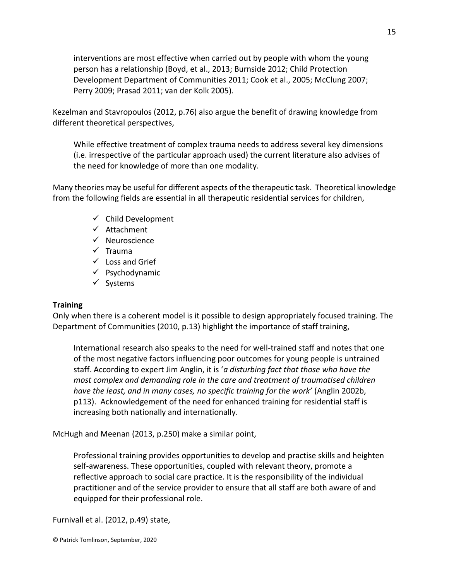interventions are most effective when carried out by people with whom the young person has a relationship (Boyd, et al., 2013; Burnside 2012; Child Protection Development Department of Communities 2011; Cook et al., 2005; McClung 2007; Perry 2009; Prasad 2011; van der Kolk 2005).

Kezelman and Stavropoulos (2012, p.76) also argue the benefit of drawing knowledge from different theoretical perspectives,

While effective treatment of complex trauma needs to address several key dimensions (i.e. irrespective of the particular approach used) the current literature also advises of the need for knowledge of more than one modality.

Many theories may be useful for different aspects of the therapeutic task. Theoretical knowledge from the following fields are essential in all therapeutic residential services for children,

- $\checkmark$  Child Development
- ✓ Attachment
- ✓ Neuroscience
- ✓ Trauma
- $\checkmark$  Loss and Grief
- $\checkmark$  Psychodynamic
- ✓ Systems

# **Training**

Only when there is a coherent model is it possible to design appropriately focused training. The Department of Communities (2010, p.13) highlight the importance of staff training,

International research also speaks to the need for well-trained staff and notes that one of the most negative factors influencing poor outcomes for young people is untrained staff. According to expert Jim Anglin, it is '*a disturbing fact that those who have the most complex and demanding role in the care and treatment of traumatised children have the least, and in many cases, no specific training for the work'* (Anglin 2002b, p113). Acknowledgement of the need for enhanced training for residential staff is increasing both nationally and internationally.

McHugh and Meenan (2013, p.250) make a similar point,

Professional training provides opportunities to develop and practise skills and heighten self-awareness. These opportunities, coupled with relevant theory, promote a reflective approach to social care practice. It is the responsibility of the individual practitioner and of the service provider to ensure that all staff are both aware of and equipped for their professional role.

Furnivall et al. (2012, p.49) state,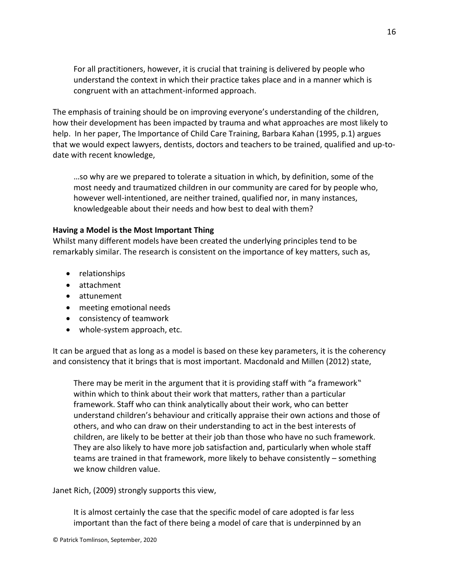For all practitioners, however, it is crucial that training is delivered by people who understand the context in which their practice takes place and in a manner which is congruent with an attachment-informed approach.

The emphasis of training should be on improving everyone's understanding of the children, how their development has been impacted by trauma and what approaches are most likely to help. In her paper, The Importance of Child Care Training, Barbara Kahan (1995, p.1) argues that we would expect lawyers, dentists, doctors and teachers to be trained, qualified and up-todate with recent knowledge,

…so why are we prepared to tolerate a situation in which, by definition, some of the most needy and traumatized children in our community are cared for by people who, however well-intentioned, are neither trained, qualified nor, in many instances, knowledgeable about their needs and how best to deal with them?

#### **Having a Model is the Most Important Thing**

Whilst many different models have been created the underlying principles tend to be remarkably similar. The research is consistent on the importance of key matters, such as,

- relationships
- attachment
- attunement
- meeting emotional needs
- consistency of teamwork
- whole-system approach, etc.

It can be argued that as long as a model is based on these key parameters, it is the coherency and consistency that it brings that is most important. Macdonald and Millen (2012) state,

There may be merit in the argument that it is providing staff with "a framework" within which to think about their work that matters, rather than a particular framework. Staff who can think analytically about their work, who can better understand children's behaviour and critically appraise their own actions and those of others, and who can draw on their understanding to act in the best interests of children, are likely to be better at their job than those who have no such framework. They are also likely to have more job satisfaction and, particularly when whole staff teams are trained in that framework, more likely to behave consistently – something we know children value.

Janet Rich, (2009) strongly supports this view,

It is almost certainly the case that the specific model of care adopted is far less important than the fact of there being a model of care that is underpinned by an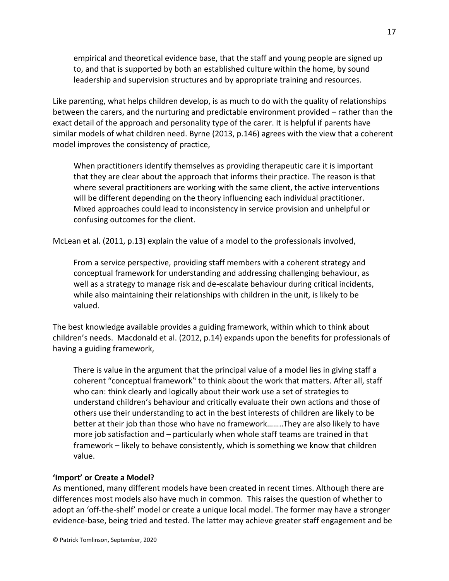empirical and theoretical evidence base, that the staff and young people are signed up to, and that is supported by both an established culture within the home, by sound leadership and supervision structures and by appropriate training and resources.

Like parenting, what helps children develop, is as much to do with the quality of relationships between the carers, and the nurturing and predictable environment provided – rather than the exact detail of the approach and personality type of the carer. It is helpful if parents have similar models of what children need. Byrne (2013, p.146) agrees with the view that a coherent model improves the consistency of practice,

When practitioners identify themselves as providing therapeutic care it is important that they are clear about the approach that informs their practice. The reason is that where several practitioners are working with the same client, the active interventions will be different depending on the theory influencing each individual practitioner. Mixed approaches could lead to inconsistency in service provision and unhelpful or confusing outcomes for the client.

McLean et al. (2011, p.13) explain the value of a model to the professionals involved,

From a service perspective, providing staff members with a coherent strategy and conceptual framework for understanding and addressing challenging behaviour, as well as a strategy to manage risk and de-escalate behaviour during critical incidents, while also maintaining their relationships with children in the unit, is likely to be valued.

The best knowledge available provides a guiding framework, within which to think about children's needs. Macdonald et al. (2012, p.14) expands upon the benefits for professionals of having a guiding framework,

There is value in the argument that the principal value of a model lies in giving staff a coherent "conceptual framework" to think about the work that matters. After all, staff who can: think clearly and logically about their work use a set of strategies to understand children's behaviour and critically evaluate their own actions and those of others use their understanding to act in the best interests of children are likely to be better at their job than those who have no framework……..They are also likely to have more job satisfaction and – particularly when whole staff teams are trained in that framework – likely to behave consistently, which is something we know that children value.

# **'Import' or Create a Model?**

As mentioned, many different models have been created in recent times. Although there are differences most models also have much in common. This raises the question of whether to adopt an 'off-the-shelf' model or create a unique local model. The former may have a stronger evidence-base, being tried and tested. The latter may achieve greater staff engagement and be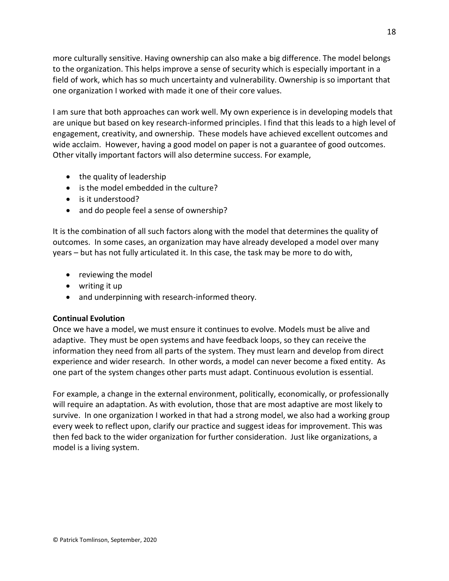more culturally sensitive. Having ownership can also make a big difference. The model belongs to the organization. This helps improve a sense of security which is especially important in a field of work, which has so much uncertainty and vulnerability. Ownership is so important that one organization I worked with made it one of their core values.

I am sure that both approaches can work well. My own experience is in developing models that are unique but based on key research-informed principles. I find that this leads to a high level of engagement, creativity, and ownership. These models have achieved excellent outcomes and wide acclaim. However, having a good model on paper is not a guarantee of good outcomes. Other vitally important factors will also determine success. For example,

- the quality of leadership
- is the model embedded in the culture?
- is it understood?
- and do people feel a sense of ownership?

It is the combination of all such factors along with the model that determines the quality of outcomes. In some cases, an organization may have already developed a model over many years – but has not fully articulated it. In this case, the task may be more to do with,

- reviewing the model
- writing it up
- and underpinning with research-informed theory.

# **Continual Evolution**

Once we have a model, we must ensure it continues to evolve. Models must be alive and adaptive. They must be open systems and have feedback loops, so they can receive the information they need from all parts of the system. They must learn and develop from direct experience and wider research. In other words, a model can never become a fixed entity. As one part of the system changes other parts must adapt. Continuous evolution is essential.

For example, a change in the external environment, politically, economically, or professionally will require an adaptation. As with evolution, those that are most adaptive are most likely to survive. In one organization I worked in that had a strong model, we also had a working group every week to reflect upon, clarify our practice and suggest ideas for improvement. This was then fed back to the wider organization for further consideration. Just like organizations, a model is a living system.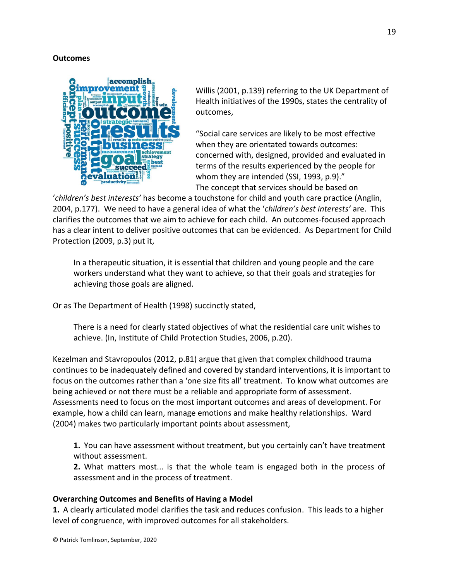#### **Outcomes**



Willis (2001, p.139) referring to the UK Department of Health initiatives of the 1990s, states the centrality of outcomes,

"Social care services are likely to be most effective when they are orientated towards outcomes: concerned with, designed, provided and evaluated in terms of the results experienced by the people for whom they are intended (SSI, 1993, p.9)." The concept that services should be based on

'*children's best interests'* has become a touchstone for child and youth care practice (Anglin, 2004, p.177). We need to have a general idea of what the '*children's best interests'* are. This clarifies the outcomes that we aim to achieve for each child. An outcomes-focused approach has a clear intent to deliver positive outcomes that can be evidenced. As Department for Child Protection (2009, p.3) put it,

In a therapeutic situation, it is essential that children and young people and the care workers understand what they want to achieve, so that their goals and strategies for achieving those goals are aligned.

Or as The Department of Health (1998) succinctly stated,

There is a need for clearly stated objectives of what the residential care unit wishes to achieve. (In, Institute of Child Protection Studies, 2006, p.20).

Kezelman and Stavropoulos (2012, p.81) argue that given that complex childhood trauma continues to be inadequately defined and covered by standard interventions, it is important to focus on the outcomes rather than a 'one size fits all' treatment. To know what outcomes are being achieved or not there must be a reliable and appropriate form of assessment. Assessments need to focus on the most important outcomes and areas of development. For example, how a child can learn, manage emotions and make healthy relationships. Ward (2004) makes two particularly important points about assessment,

**1.** You can have assessment without treatment, but you certainly can't have treatment without assessment.

**2.** What matters most... is that the whole team is engaged both in the process of assessment and in the process of treatment.

# **Overarching Outcomes and Benefits of Having a Model**

**1.** A clearly articulated model clarifies the task and reduces confusion. This leads to a higher level of congruence, with improved outcomes for all stakeholders.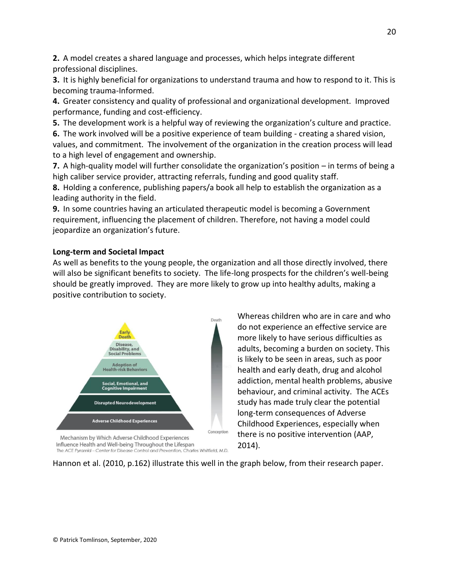**2.** A model creates a shared language and processes, which helps integrate different professional disciplines.

**3.** It is highly beneficial for organizations to understand trauma and how to respond to it. This is becoming trauma-Informed.

**4.** Greater consistency and quality of professional and organizational development. Improved performance, funding and cost-efficiency.

**5.** The development work is a helpful way of reviewing the organization's culture and practice.

**6.** The work involved will be a positive experience of team building - creating a shared vision, values, and commitment. The involvement of the organization in the creation process will lead to a high level of engagement and ownership.

**7.** A high-quality model will further consolidate the organization's position – in terms of being a high caliber service provider, attracting referrals, funding and good quality staff.

**8.** Holding a conference, publishing papers/a book all help to establish the organization as a leading authority in the field.

**9.** In some countries having an articulated therapeutic model is becoming a Government requirement, influencing the placement of children. Therefore, not having a model could jeopardize an organization's future.

# **Long-term and Societal Impact**

As well as benefits to the young people, the organization and all those directly involved, there will also be significant benefits to society. The life-long prospects for the children's well-being should be greatly improved. They are more likely to grow up into healthy adults, making a positive contribution to society.



Mechanism by Which Adverse Childhood Experiences Influence Health and Well-being Throughout the Lifespan The ACE Pyramid - Center for Disease Control and Prevention, Charles Whitfield, M.D.

Whereas children who are in care and who do not experience an effective service are more likely to have serious difficulties as adults, becoming a burden on society. This is likely to be seen in areas, such as poor health and early death, drug and alcohol addiction, mental health problems, abusive behaviour, and criminal activity. The ACEs study has made truly clear the potential long-term consequences of Adverse Childhood Experiences, especially when there is no positive intervention (AAP, 2014).

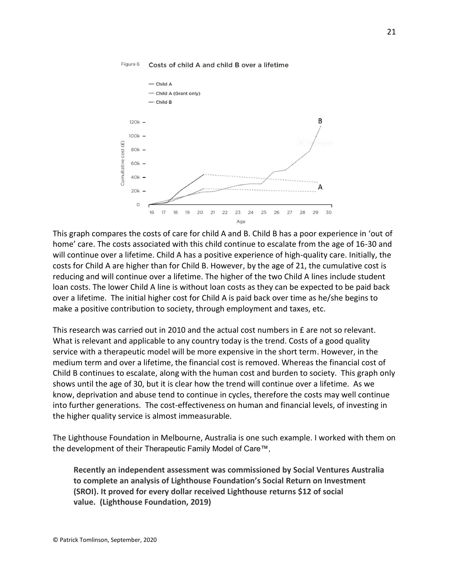

#### Figure 6 Costs of child A and child B over a lifetime

This graph compares the costs of care for child A and B. Child B has a poor experience in 'out of home' care. The costs associated with this child continue to escalate from the age of 16-30 and will continue over a lifetime. Child A has a positive experience of high-quality care. Initially, the costs for Child A are higher than for Child B. However, by the age of 21, the cumulative cost is reducing and will continue over a lifetime. The higher of the two Child A lines include student loan costs. The lower Child A line is without loan costs as they can be expected to be paid back over a lifetime. The initial higher cost for Child A is paid back over time as he/she begins to make a positive contribution to society, through employment and taxes, etc.

This research was carried out in 2010 and the actual cost numbers in £ are not so relevant. What is relevant and applicable to any country today is the trend. Costs of a good quality service with a therapeutic model will be more expensive in the short term. However, in the medium term and over a lifetime, the financial cost is removed. Whereas the financial cost of Child B continues to escalate, along with the human cost and burden to society. This graph only shows until the age of 30, but it is clear how the trend will continue over a lifetime. As we know, deprivation and abuse tend to continue in cycles, therefore the costs may well continue into further generations. The cost-effectiveness on human and financial levels, of investing in the higher quality service is almost immeasurable.

The Lighthouse Foundation in Melbourne, Australia is one such example. I worked with them on the development of their Therapeutic Family Model of Care™,

**Recently an independent assessment was commissioned by Social Ventures Australia to complete an analysis of Lighthouse Foundation's Social Return on Investment (SROI). It proved for every dollar received Lighthouse returns \$12 of social value. (Lighthouse Foundation, 2019)**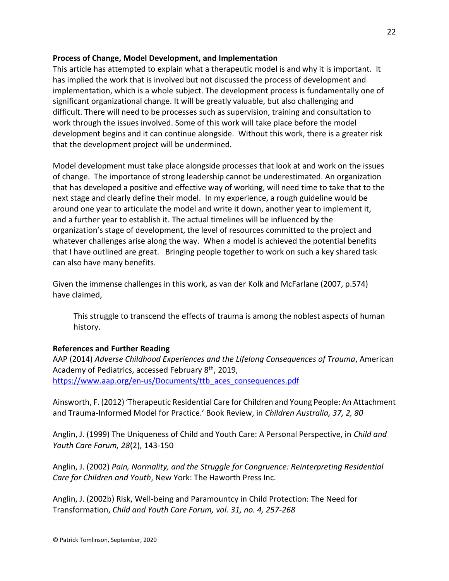# **Process of Change, Model Development, and Implementation**

This article has attempted to explain what a therapeutic model is and why it is important. It has implied the work that is involved but not discussed the process of development and implementation, which is a whole subject. The development process is fundamentally one of significant organizational change. It will be greatly valuable, but also challenging and difficult. There will need to be processes such as supervision, training and consultation to work through the issues involved. Some of this work will take place before the model development begins and it can continue alongside. Without this work, there is a greater risk that the development project will be undermined.

Model development must take place alongside processes that look at and work on the issues of change. The importance of strong leadership cannot be underestimated. An organization that has developed a positive and effective way of working, will need time to take that to the next stage and clearly define their model. In my experience, a rough guideline would be around one year to articulate the model and write it down, another year to implement it, and a further year to establish it. The actual timelines will be influenced by the organization's stage of development, the level of resources committed to the project and whatever challenges arise along the way. When a model is achieved the potential benefits that I have outlined are great. Bringing people together to work on such a key shared task can also have many benefits.

Given the immense challenges in this work, as van der Kolk and McFarlane (2007, p.574) have claimed,

This struggle to transcend the effects of trauma is among the noblest aspects of human history.

# **References and Further Reading**

AAP (2014) *Adverse Childhood Experiences and the Lifelong Consequences of Trauma*, American Academy of Pediatrics, accessed February 8<sup>th</sup>, 2019, [https://www.aap.org/en-us/Documents/ttb\\_aces\\_consequences.pdf](https://www.aap.org/en-us/Documents/ttb_aces_consequences.pdf)

Ainsworth, F. (2012) 'Therapeutic Residential Care for Children and Young People: An Attachment and Trauma-Informed Model for Practice.' Book Review, in *Children Australia, 37, 2, 80*

Anglin, J. (1999) The Uniqueness of Child and Youth Care: A Personal Perspective, in *Child and Youth Care Forum, 28*(2), 143-150

Anglin, J. (2002) *Pain, Normality, and the Struggle for Congruence: Reinterpreting Residential Care for Children and Youth*, New York: The Haworth Press Inc.

Anglin, J. (2002b) Risk, Well-being and Paramountcy in Child Protection: The Need for Transformation, *Child and Youth Care Forum, vol. 31, no. 4, 257-268*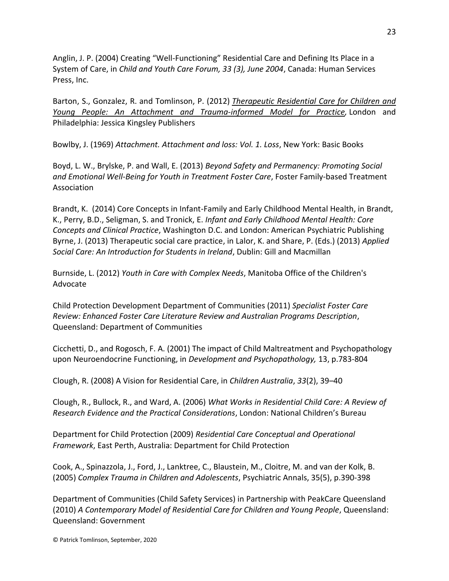Anglin, J. P. (2004) Creating "Well-Functioning" Residential Care and Defining Its Place in a System of Care, in *Child and Youth Care Forum, 33 (3), June 2004*, Canada: Human Services Press, Inc.

Barton, S., Gonzalez, R. and Tomlinson, P. (2012) *[Therapeutic](http://www.linkedin.com/redir/redirect?url=http%3A%2F%2Fwww%2Ejkp%2Ecom%2Fcatalogue%2Fbook%2F9781849052559&urlhash=Wjyh&trk=prof-publication-title-link) Residential Care for Children and Young People: An Attachment and [Trauma-informed](http://www.linkedin.com/redir/redirect?url=http%3A%2F%2Fwww%2Ejkp%2Ecom%2Fcatalogue%2Fbook%2F9781849052559&urlhash=Wjyh&trk=prof-publication-title-link) Model for Practice,* London and Philadelphia: Jessica Kingsley Publishers

Bowlby, J. (1969) *Attachment. Attachment and loss: Vol. 1. Loss*, New York: Basic Books

Boyd, L. W., Brylske, P. and Wall, E. (2013) *Beyond Safety and Permanency: Promoting Social and Emotional Well-Being for Youth in Treatment Foster Care*, Foster Family-based Treatment Association

Brandt, K. (2014) Core Concepts in Infant-Family and Early Childhood Mental Health, in Brandt, K., Perry, B.D., Seligman, S. and Tronick, E. *Infant and Early Childhood Mental Health: Core Concepts and Clinical Practice*, Washington D.C. and London: American Psychiatric Publishing Byrne, J. (2013) Therapeutic social care practice, in Lalor, K. and Share, P. (Eds.) (2013) *Applied Social Care: An Introduction for Students in Ireland*, Dublin: Gill and Macmillan

Burnside, L. (2012) *Youth in Care with Complex Needs*, Manitoba Office of the Children's Advocate

Child Protection Development Department of Communities (2011) *Specialist Foster Care Review: Enhanced Foster Care Literature Review and Australian Programs Description*, Queensland: Department of Communities

Cicchetti, D., and Rogosch, F. A. (2001) The impact of Child Maltreatment and Psychopathology upon Neuroendocrine Functioning, in *Development and Psychopathology,* 13, p.783-804

Clough, R. (2008) A Vision for Residential Care, in *Children Australia*, *33*(2), 39–40

Clough, R., Bullock, R., and Ward, A. (2006) *What Works in Residential Child Care: A Review of Research Evidence and the Practical Considerations*, London: National Children's Bureau

Department for Child Protection (2009) *Residential Care Conceptual and Operational Framework*, East Perth, Australia: Department for Child Protection

Cook, A., Spinazzola, J., Ford, J., Lanktree, C., Blaustein, M., Cloitre, M. and van der Kolk, B. (2005) *Complex Trauma in Children and Adolescents*, Psychiatric Annals, 35(5), p.390-398

Department of Communities (Child Safety Services) in Partnership with PeakCare Queensland (2010) *A Contemporary Model of Residential Care for Children and Young People*, Queensland: Queensland: Government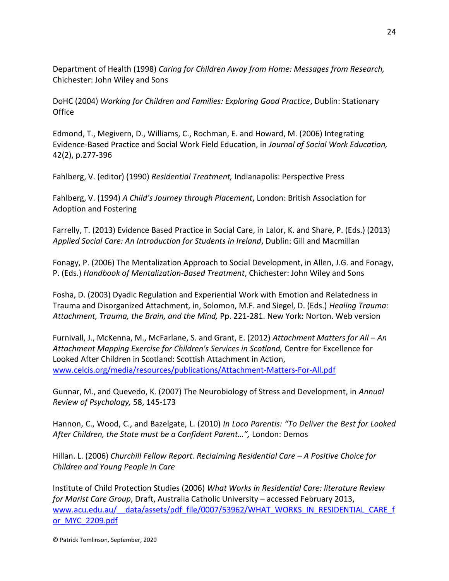Department of Health (1998) *Caring for Children Away from Home: Messages from Research,* Chichester: John Wiley and Sons

DoHC (2004) *Working for Children and Families: Exploring Good Practice*, Dublin: Stationary **Office** 

Edmond, T., Megivern, D., Williams, C., Rochman, E. and Howard, M. (2006) Integrating Evidence-Based Practice and Social Work Field Education, in *Journal of Social Work Education,*  42(2), p.277-396

Fahlberg, V. (editor) (1990) *Residential Treatment,* Indianapolis: Perspective Press

Fahlberg, V. (1994) *A Child's Journey through Placement*, London: British Association for Adoption and Fostering

Farrelly, T. (2013) Evidence Based Practice in Social Care, in Lalor, K. and Share, P. (Eds.) (2013) *Applied Social Care: An Introduction for Students in Ireland*, Dublin: Gill and Macmillan

Fonagy, P. (2006) The Mentalization Approach to Social Development, in Allen, J.G. and Fonagy, P. (Eds.) *Handbook of Mentalization-Based Treatment*, Chichester: John Wiley and Sons

Fosha, D. (2003) Dyadic Regulation and Experiential Work with Emotion and Relatedness in Trauma and Disorganized Attachment, in, Solomon, M.F. and Siegel, D. (Eds.) *Healing Trauma: Attachment, Trauma, the Brain, and the Mind,* Pp. 221-281. New York: Norton. Web version

Furnivall, J., McKenna, M., McFarlane, S. and Grant, E. (2012) *Attachment Matters for All – An Attachment Mapping Exercise for Children's Services in Scotland,* Centre for Excellence for Looked After Children in Scotland: Scottish Attachment in Action, [www.celcis.org/media/resources/publications/Attachment-Matters-For-All.pdf](http://www.celcis.org/media/resources/publications/Attachment-Matters-For-All.pdf)

Gunnar, M., and Quevedo, K. (2007) The Neurobiology of Stress and Development, in *Annual Review of Psychology,* 58, 145-173

Hannon, C., Wood, C., and Bazelgate, L. (2010) *In Loco Parentis: "To Deliver the Best for Looked After Children, the State must be a Confident Parent…",* London: Demos

Hillan. L. (2006) *Churchill Fellow Report. Reclaiming Residential Care – A Positive Choice for Children and Young People in Care*

Institute of Child Protection Studies (2006) *What Works in Residential Care: literature Review for Marist Care Group*, Draft, Australia Catholic University – accessed February 2013, www.acu.edu.au/ data/assets/pdf\_file/0007/53962/WHAT\_WORKS\_IN\_RESIDENTIAL\_CARE\_f [or\\_MYC\\_2209.pdf](http://www.acu.edu.au/__data/assets/pdf_file/0007/53962/WHAT_WORKS_IN_RESIDENTIAL_CARE_for_MYC_2209.pdf)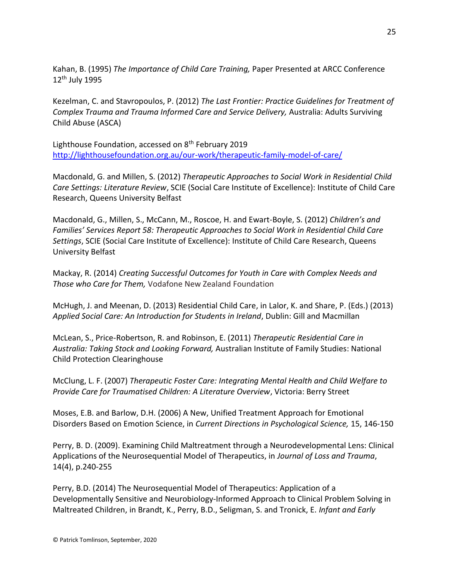Kahan, B. (1995) *The Importance of Child Care Training,* Paper Presented at ARCC Conference 12th July 1995

Kezelman, C. and Stavropoulos, P. (2012) *The Last Frontier: Practice Guidelines for Treatment of Complex Trauma and Trauma Informed Care and Service Delivery,* Australia: Adults Surviving Child Abuse (ASCA)

Lighthouse Foundation, accessed on 8<sup>th</sup> February 2019 <http://lighthousefoundation.org.au/our-work/therapeutic-family-model-of-care/>

Macdonald, G. and Millen, S. (2012) *Therapeutic Approaches to Social Work in Residential Child Care Settings: Literature Review*, SCIE (Social Care Institute of Excellence): Institute of Child Care Research, Queens University Belfast

Macdonald, G., Millen, S., McCann, M., Roscoe, H. and Ewart-Boyle, S. (2012) *Children's and Families' Services Report 58: Therapeutic Approaches to Social Work in Residential Child Care Settings*, SCIE (Social Care Institute of Excellence): Institute of Child Care Research, Queens University Belfast

Mackay, R. (2014) *Creating Successful Outcomes for Youth in Care with Complex Needs and Those who Care for Them,* Vodafone New Zealand Foundation

McHugh, J. and Meenan, D. (2013) Residential Child Care, in Lalor, K. and Share, P. (Eds.) (2013) *Applied Social Care: An Introduction for Students in Ireland*, Dublin: Gill and Macmillan

McLean, S., Price-Robertson, R. and Robinson, E. (2011) *Therapeutic Residential Care in Australia: Taking Stock and Looking Forward,* Australian Institute of Family Studies: National Child Protection Clearinghouse

McClung, L. F. (2007) *Therapeutic Foster Care: Integrating Mental Health and Child Welfare to Provide Care for Traumatised Children: A Literature Overview*, Victoria: Berry Street

Moses, E.B. and Barlow, D.H. (2006) A New, Unified Treatment Approach for Emotional Disorders Based on Emotion Science, in *Current Directions in Psychological Science,* 15, 146-150

Perry, B. D. (2009). Examining Child Maltreatment through a Neurodevelopmental Lens: Clinical Applications of the Neurosequential Model of Therapeutics, in *Journal of Loss and Trauma*, 14(4), p.240-255

Perry, B.D. (2014) The Neurosequential Model of Therapeutics: Application of a Developmentally Sensitive and Neurobiology-Informed Approach to Clinical Problem Solving in Maltreated Children, in Brandt, K., Perry, B.D., Seligman, S. and Tronick, E. *Infant and Early*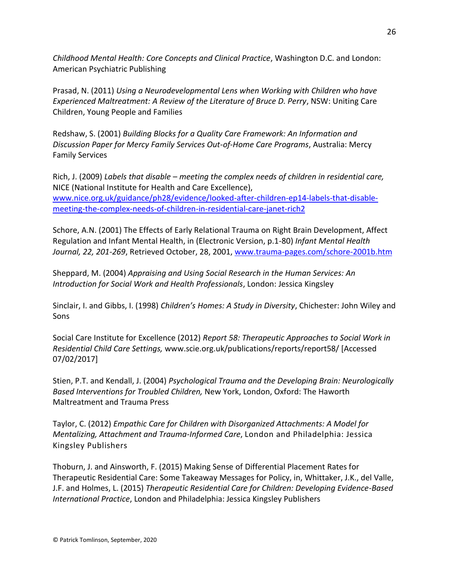*Childhood Mental Health: Core Concepts and Clinical Practice*, Washington D.C. and London: American Psychiatric Publishing

Prasad, N. (2011) *Using a Neurodevelopmental Lens when Working with Children who have Experienced Maltreatment: A Review of the Literature of Bruce D. Perry*, NSW: Uniting Care Children, Young People and Families

Redshaw, S. (2001) *Building Blocks for a Quality Care Framework: An Information and Discussion Paper for Mercy Family Services Out-of-Home Care Programs*, Australia: Mercy Family Services

Rich, J. (2009) *Labels that disable – meeting the complex needs of children in residential care,*  NICE (National Institute for Health and Care Excellence), [www.nice.org.uk/guidance/ph28/evidence/looked-after-children-ep14-labels-that-disable](http://www.nice.org.uk/guidance/ph28/evidence/looked-after-children-ep14-labels-that-disable-meeting-the-complex-needs-of-children-in-residential-care-janet-rich2)[meeting-the-complex-needs-of-children-in-residential-care-janet-rich2](http://www.nice.org.uk/guidance/ph28/evidence/looked-after-children-ep14-labels-that-disable-meeting-the-complex-needs-of-children-in-residential-care-janet-rich2)

Schore, A.N. (2001) The Effects of Early Relational Trauma on Right Brain Development, Affect Regulation and Infant Mental Health, in (Electronic Version, p.1-80) *Infant Mental Health Journal, 22, 201-269*, Retrieved October, 28, 2001, [www.trauma-pages.com/schore-2001b.htm](http://www.trauma-pages.com/schore-2001b.htm)

Sheppard, M. (2004) *Appraising and Using Social Research in the Human Services: An Introduction for Social Work and Health Professionals*, London: Jessica Kingsley

Sinclair, I. and Gibbs, I. (1998) *Children's Homes: A Study in Diversity*, Chichester: John Wiley and Sons

Social Care Institute for Excellence (2012) *Report 58: Therapeutic Approaches to Social Work in Residential Child Care Settings,* www.scie.org.uk/publications/reports/report58/ [Accessed 07/02/2017]

Stien, P.T. and Kendall, J. (2004) *Psychological Trauma and the Developing Brain: Neurologically Based Interventions for Troubled Children,* New York, London, Oxford: The Haworth Maltreatment and Trauma Press

Taylor, C. (2012) *Empathic Care for Children with Disorganized Attachments: A Model for Mentalizing, Attachment and Trauma-Informed Care*, London and Philadelphia: Jessica Kingsley Publishers

Thoburn, J. and Ainsworth, F. (2015) Making Sense of Differential Placement Rates for Therapeutic Residential Care: Some Takeaway Messages for Policy, in, Whittaker, J.K., del Valle, J.F. and Holmes, L. (2015) *Therapeutic Residential Care for Children: Developing Evidence-Based International Practice*, London and Philadelphia: Jessica Kingsley Publishers